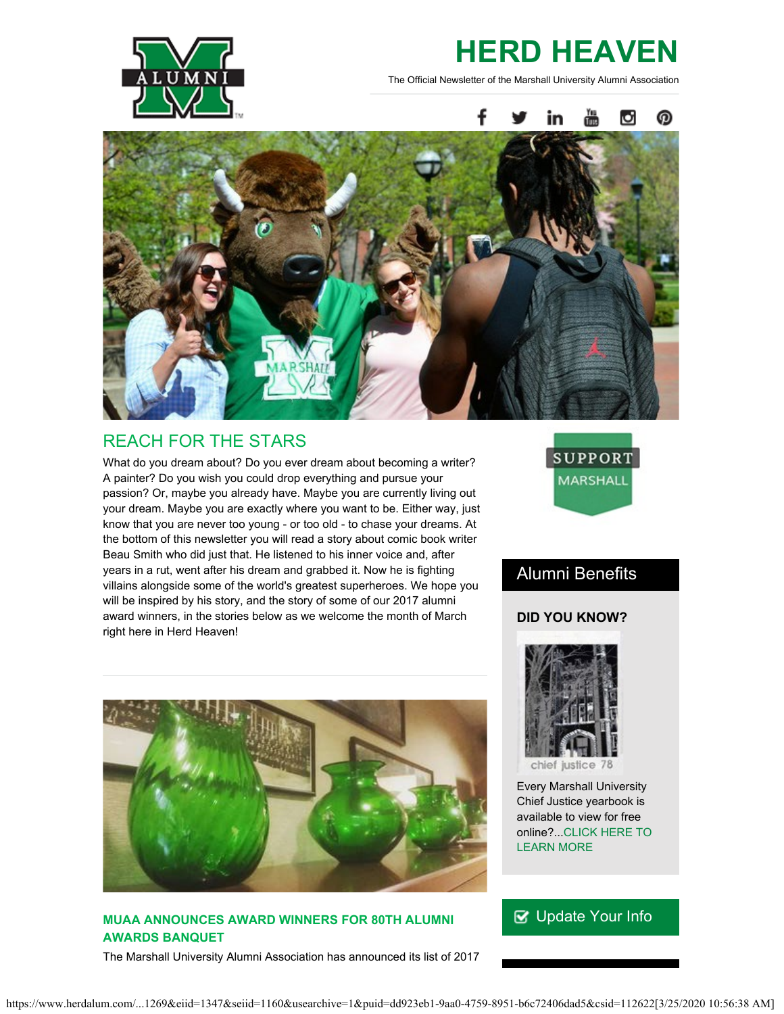

# **HERD HEAVEN**

The Official Newsletter of the Marshall University Alumni Association



## REACH FOR THE STARS

What do you dream about? Do you ever dream about becoming a writer? A painter? Do you wish you could drop everything and pursue your passion? Or, maybe you already have. Maybe you are currently living out your dream. Maybe you are exactly where you want to be. Either way, just know that you are never too young - or too old - to chase your dreams. At the bottom of this newsletter you will read a story about comic book writer Beau Smith who did just that. He listened to his inner voice and, after years in a rut, went after his dream and grabbed it. Now he is fighting villains alongside some of the world's greatest superheroes. We hope you will be inspired by his story, and the story of some of our 2017 alumni award winners, in the stories below as we welcome the month of March right here in Herd Heaven!



## Alumni Benefits

#### **DID YOU KNOW?**



#### **MUAA ANNOUNCES AWARD WINNERS FOR 80TH ALUMNI AWARDS BANQUET**

The Marshall University Alumni Association has announced its list of 2017



Every Marshall University Chief Justice yearbook is available to view for free online?..[.CLICK HERE TO](http://mds.marshall.edu/yearbooks/) [LEARN MORE](http://mds.marshall.edu/yearbooks/)

## ■ [Update Your Info](http://www.herdalum.com/s/1269/index.aspx?sid=1269&gid=1&pgid=6&cid=41#/Search/Simple)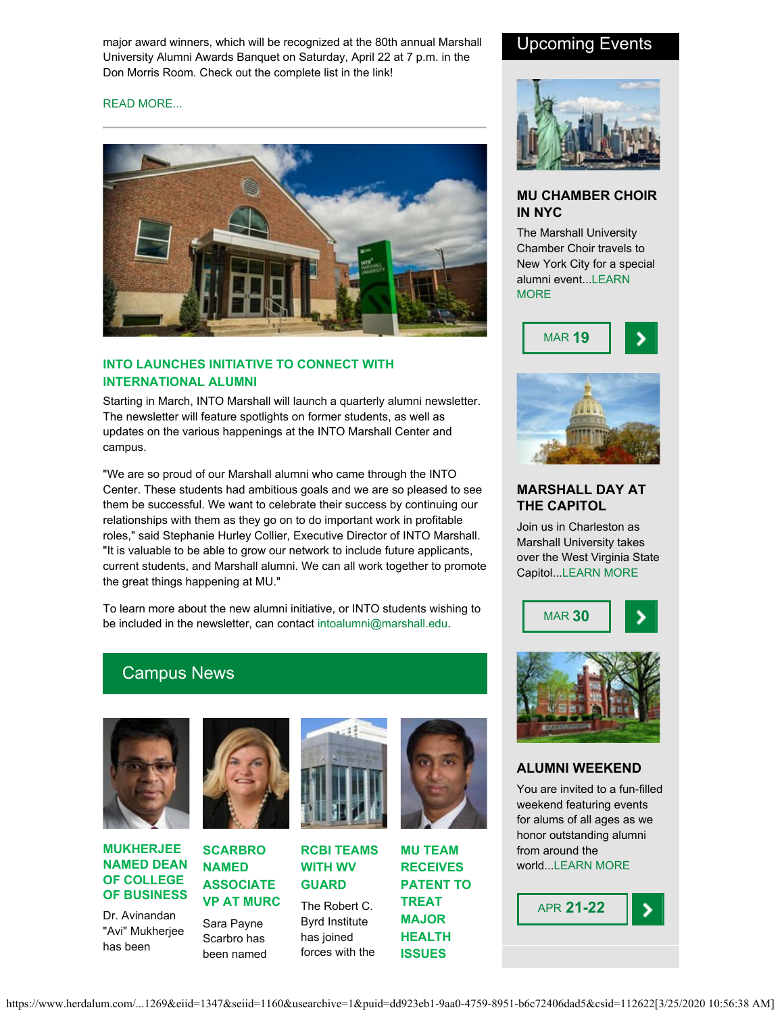major award winners, which will be recognized at the 80th annual Marshall University Alumni Awards Banquet on Saturday, April 22 at 7 p.m. in the Don Morris Room. Check out the complete list in the link!

#### [READ MORE...](https://www.herdalum.com/s/1269/images/editor_documents/lc/herd_heaven/award_winners_release.pdf)



#### **INTO LAUNCHES INITIATIVE TO CONNECT WITH INTERNATIONAL ALUMNI**

Starting in March, INTO Marshall will launch a quarterly alumni newsletter. The newsletter will feature spotlights on former students, as well as updates on the various happenings at the INTO Marshall Center and campus.

"We are so proud of our Marshall alumni who came through the INTO Center. These students had ambitious goals and we are so pleased to see them be successful. We want to celebrate their success by continuing our relationships with them as they go on to do important work in profitable roles," said Stephanie Hurley Collier, Executive Director of INTO Marshall. "It is valuable to be able to grow our network to include future applicants, current students, and Marshall alumni. We can all work together to promote the great things happening at MU."

To learn more about the new alumni initiative, or INTO students wishing to be included in the newsletter, can contact [intoalumni@marshall.edu](mailto:intoalumni@marshall.edu).

### Campus News



#### **MUKHERJEE NAMED DEAN OF COLLEGE OF BUSINESS**

Dr. Avinandan "Avi" Mukherjee has been



## **SCARBRO NAMED ASSOCIATE**

Scarbro has been named





The Robert C. Byrd Institute has joined forces with the



**RCBI TEAMS**

**MU TEAM RECEIVES PATENT TO TREAT MAJOR HEALTH**

**ISSUES**

### Upcoming Events



#### **MU CHAMBER CHOIR IN NYC**

The Marshall University Chamber Choir travels to New York City for a special alumni event..[.LEARN](https://www.facebook.com/events/573596992844446/) **[MORE](https://www.facebook.com/events/573596992844446/)** 





#### **MARSHALL DAY AT THE CAPITOL**

Join us in Charleston as Marshall University takes over the West Virginia State Capitol..[.LEARN MORE](http://www.herdalum.com/s/1269/index.aspx?sid=1269&gid=1&pgid=1032&cid=2635&ecid=2635&crid=0&calpgid=429&calcid=1951)





#### **ALUMNI WEEKEND**

You are invited to a fun-filled weekend featuring events for alums of all ages as we honor outstanding alumni from around the world..[.LEARN MORE](http://www.herdalum.com/s/1269/index.aspx?sid=1269&gid=1&pgid=429)

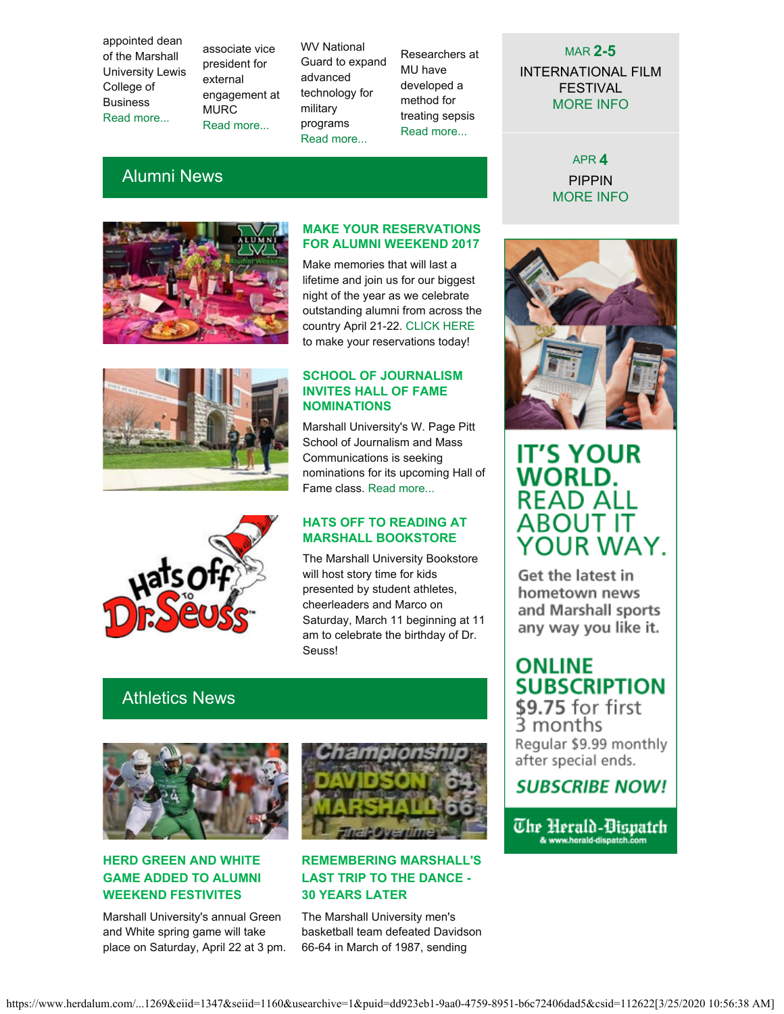appointed dean of the Marshall University Lewis College of Business [Read more...](http://www.marshall.edu/ucomm/2017/02/23/mukherjee-appointed-dean-lewis-college-business/)

associate vice president for external engagement at MURC [Read more...](https://www.marshall.edu/ucomm/2017/02/02/scarbro-named-associate-vice-president-external-engagement/)

WV National Guard to expand advanced technology for military programs [Read more...](https://www.marshall.edu/ucomm/2017/02/21/rcbi-teams-with-wv-guard-to-expand-economic-opportunity/)

Researchers at MU have developed a method for treating sepsis [Read more...](https://www.marshall.edu/ucomm/2017/02/21/marshall-university-researchers-receive-u-s-patent-treat-one-worlds-major-health-issues/)

#### MAR **2-5**

INTERNATIONAL FILM FESTIVAL [MORE INFO](http://www.marshall.edu/muartistseries/festivals#spring)

> APR **4** PIPPIN [MORE INFO](http://www.marshall.edu/muartistseries/show?id=24)

## Alumni News



#### **MAKE YOUR RESERVATIONS FOR ALUMNI WEEKEND 2017**

Make memories that will last a lifetime and join us for our biggest night of the year as we celebrate outstanding alumni from across the country April 21-22. [CLICK HERE](http://www.herdalum.com/s/1269/index.aspx?sid=1269&gid=1&pgid=429) to make your reservations today!

#### **SCHOOL OF JOURNALISM INVITES HALL OF FAME NOMINATIONS**

Marshall University's W. Page Pitt School of Journalism and Mass Communications is seeking nominations for its upcoming Hall of Fame class. [Read more...](https://www.marshall.edu/ucomm/2017/02/13/marshall-school-journalism-mass-communications-invites-hall-fame-nominations/)



#### **HATS OFF TO READING AT MARSHALL BOOKSTORE**

The Marshall University Bookstore will host story time for kids presented by student athletes, cheerleaders and Marco on Saturday, March 11 beginning at 11 am to celebrate the birthday of Dr. Seuss!

## Athletics News



#### **HERD GREEN AND WHITE GAME ADDED TO ALUMNI WEEKEND FESTIVITES**

Marshall University's annual Green and White spring game will take place on Saturday, April 22 at 3 pm.



#### **REMEMBERING MARSHALL'S LAST TRIP TO THE DANCE - 30 YEARS LATER**

The Marshall University men's basketball team defeated Davidson 66-64 in March of 1987, sending



## **IT'S YOUR WORLD. READ ALL ABOUT IT** YOUR WAY.

Get the latest in hometown news and Marshall sports any way you like it.

## **ONLINE SUBSCRIPTION**

 $$9.75$  for first<br>3 months Regular \$9.99 monthly after special ends.

## **SUBSCRIBE NOW!**

The Herald-Bispatch